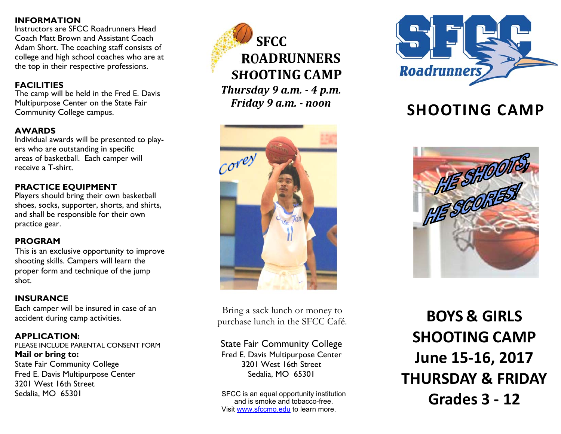## **INFORMATION**

 Instructors are SFCC Roadrunners Head Coach Matt Brown and Assistant Coach Adam Short. The coaching staff consists of college and high school coaches who are at the top in their respective professions.

## **FACILITIES**

The camp will be held in the Fred E. Davis Multipurpose Center on the State Fair Community College campus.

## **AWARDS**

Individual awards will be presented to players who are outstanding in specific areas of basketball. Each camper will receive a T-shirt.

# **PRACTICE EQUIPMENT**

Players should bring their own basketball shoes, socks, supporter, shorts, and shirts, and shall be responsible for their own practice gear.

# **PROGRAM**

This is an exclusive opportunity to improve shooting skills. Campers will learn the proper form and technique of the jump shot.

# **INSURANCE**

Each camper will be insured in case of an accident during camp activities.

#### **APPLICATION:** PLEASE INCLUDE PARENTAL CONSENT FORM **Mail or bring to:**

State Fair Community College Fred E. Davis Multipurpose Center 3201 West 16th Street Sedalia, MO 65301





Bring a sack lunch or money to purchase lunch in the SFCC Café.

# State Fair Community College

Fred E. Davis Multipurpose Center 3201 West 16th Street Sedalia, MO 65301

SFCC is an equal opportunity institution and is smoke and tobacco-free. Visit www.sfccmo.edu to learn more.



# **SHOOTING CAMP**



**BOYS & GIRLS SHOOTING CAMP June 15‐16, 2017 THURSDAY & FRIDAY Grades 3 ‐ 12**